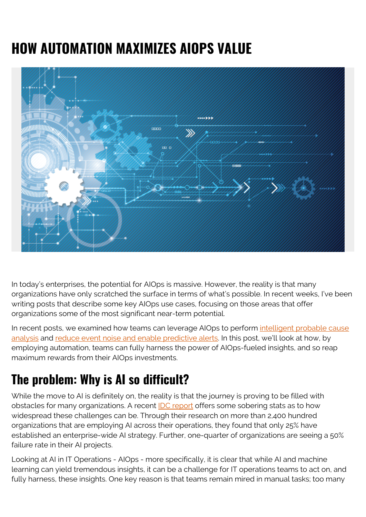# **HOW AUTOMATION MAXIMIZES AIOPS VALUE**



In today's enterprises, the potential for AIOps is massive. However, the reality is that many organizations have only scratched the surface in terms of what's possible. In recent weeks, I've been writing posts that describe some key AIOps use cases, focusing on those areas that offer organizations some of the most significant near-term potential.

In recent posts, we examined how teams can leverage AIOps to perform [intelligent probable cause](https://blogs.bmc.com/blogs/probable-cause-analysis-a-key-value-driver-of-aiops/) [analysis](https://blogs.bmc.com/blogs/probable-cause-analysis-a-key-value-driver-of-aiops/) and [reduce event noise and enable predictive alerts.](https://blogs.bmc.com/blogs/why-event-noise-reduction-and-predictive-alerting-are-critical-for-aiops/) In this post, we'll look at how, by employing automation, teams can fully harness the power of AIOps-fueled insights, and so reap maximum rewards from their AIOps investments.

### **The problem: Why is AI so difficult?**

While the move to AI is definitely on, the reality is that the journey is proving to be filled with obstacles for many organizations. A recent **IDC report** offers some sobering stats as to how widespread these challenges can be. Through their research on more than 2,400 hundred organizations that are employing AI across their operations, they found that only 25% have established an enterprise-wide AI strategy. Further, one-quarter of organizations are seeing a 50% failure rate in their AI projects.

Looking at AI in IT Operations - AIOps - more specifically, it is clear that while AI and machine learning can yield tremendous insights, it can be a challenge for IT operations teams to act on, and fully harness, these insights. One key reason is that teams remain mired in manual tasks; too many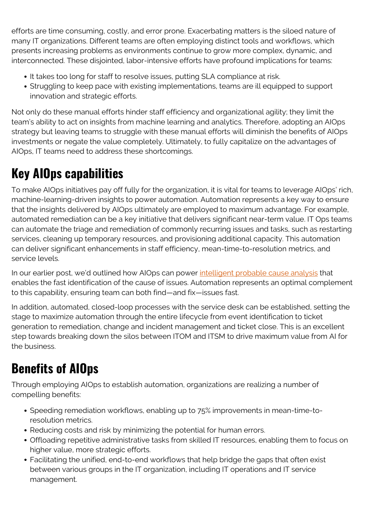efforts are time consuming, costly, and error prone. Exacerbating matters is the siloed nature of many IT organizations. Different teams are often employing distinct tools and workflows, which presents increasing problems as environments continue to grow more complex, dynamic, and interconnected. These disjointed, labor-intensive efforts have profound implications for teams:

- It takes too long for staff to resolve issues, putting SLA compliance at risk.
- Struggling to keep pace with existing implementations, teams are ill equipped to support innovation and strategic efforts.

Not only do these manual efforts hinder staff efficiency and organizational agility; they limit the team's ability to act on insights from machine learning and analytics. Therefore, adopting an AIOps strategy but leaving teams to struggle with these manual efforts will diminish the benefits of AIOps investments or negate the value completely. Ultimately, to fully capitalize on the advantages of AIOps, IT teams need to address these shortcomings.

# **Key AIOps capabilities**

To make AIOps initiatives pay off fully for the organization, it is vital for teams to leverage AIOps' rich, machine-learning-driven insights to power automation. Automation represents a key way to ensure that the insights delivered by AIOps ultimately are employed to maximum advantage. For example, automated remediation can be a key initiative that delivers significant near-term value. IT Ops teams can automate the triage and remediation of commonly recurring issues and tasks, such as restarting services, cleaning up temporary resources, and provisioning additional capacity. This automation can deliver significant enhancements in staff efficiency, mean-time-to-resolution metrics, and service levels.

In our earlier post, we'd outlined how AIOps can power [intelligent probable cause analysis](https://blogs.bmc.com/blogs/probable-cause-analysis-a-key-value-driver-of-aiops/) that enables the fast identification of the cause of issues. Automation represents an optimal complement to this capability, ensuring team can both find—and fix—issues fast.

In addition, automated, closed-loop processes with the service desk can be established, setting the stage to maximize automation through the entire lifecycle from event identification to ticket generation to remediation, change and incident management and ticket close. This is an excellent step towards breaking down the silos between ITOM and ITSM to drive maximum value from AI for the business.

## **Benefits of AIOps**

Through employing AIOps to establish automation, organizations are realizing a number of compelling benefits:

- Speeding remediation workflows, enabling up to 75% improvements in mean-time-toresolution metrics.
- Reducing costs and risk by minimizing the potential for human errors.
- Offloading repetitive administrative tasks from skilled IT resources, enabling them to focus on higher value, more strategic efforts.
- Facilitating the unified, end-to-end workflows that help bridge the gaps that often exist between various groups in the IT organization, including IT operations and IT service management.